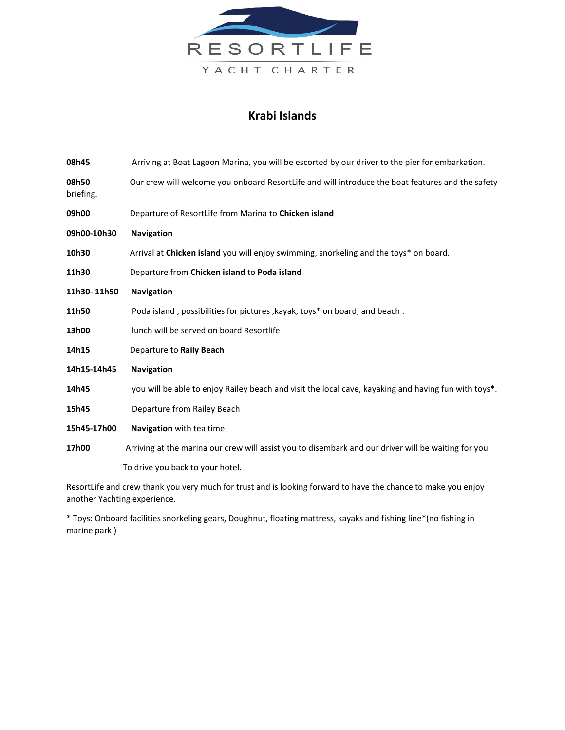

## **Krabi Islands**

| 08h45              | Arriving at Boat Lagoon Marina, you will be escorted by our driver to the pier for embarkation.               |
|--------------------|---------------------------------------------------------------------------------------------------------------|
| 08h50<br>briefing. | Our crew will welcome you onboard ResortLife and will introduce the boat features and the safety              |
| 09h00              | Departure of ResortLife from Marina to Chicken island                                                         |
| 09h00-10h30        | Navigation                                                                                                    |
| 10h30              | Arrival at Chicken island you will enjoy swimming, snorkeling and the toys* on board.                         |
| 11h30              | Departure from Chicken island to Poda island                                                                  |
| 11h30-11h50        | <b>Navigation</b>                                                                                             |
| 11h50              | Poda island, possibilities for pictures, kayak, toys* on board, and beach.                                    |
| 13h00              | lunch will be served on board Resortlife                                                                      |
| 14h15              | Departure to Raily Beach                                                                                      |
| 14h15-14h45        | <b>Navigation</b>                                                                                             |
| 14h45              | you will be able to enjoy Railey beach and visit the local cave, kayaking and having fun with toys*.          |
| 15h45              | Departure from Railey Beach                                                                                   |
| 15h45-17h00        | Navigation with tea time.                                                                                     |
| 17h00              | Arriving at the marina our crew will assist you to disembark and our driver will be waiting for you           |
|                    | To drive you back to your hotel.                                                                              |
|                    | ResortLife and crew thank you very much for trust and is looking forward to have the chance to make you enjoy |

another Yachting experience.

\* Toys: Onboard facilities snorkeling gears, Doughnut, floating mattress, kayaks and fishing line\*(no fishing in marine park )